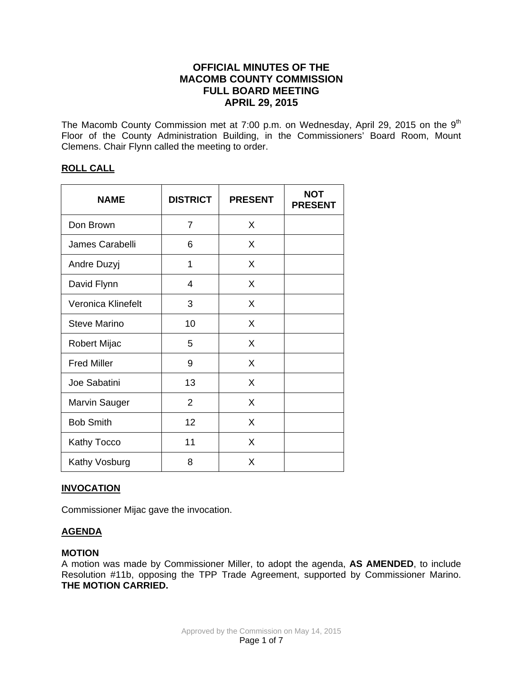# **OFFICIAL MINUTES OF THE MACOMB COUNTY COMMISSION FULL BOARD MEETING APRIL 29, 2015**

The Macomb County Commission met at 7:00 p.m. on Wednesday, April 29, 2015 on the 9<sup>th</sup> Floor of the County Administration Building, in the Commissioners' Board Room, Mount Clemens. Chair Flynn called the meeting to order.

# **ROLL CALL**

| <b>NAME</b>         | <b>DISTRICT</b> | <b>PRESENT</b> | <b>NOT</b><br><b>PRESENT</b> |
|---------------------|-----------------|----------------|------------------------------|
| Don Brown           | 7               | X              |                              |
| James Carabelli     | 6               | X              |                              |
| Andre Duzyj         | 1               | X              |                              |
| David Flynn         | 4               | X              |                              |
| Veronica Klinefelt  | 3               | X              |                              |
| <b>Steve Marino</b> | 10              | X              |                              |
| <b>Robert Mijac</b> | 5               | X              |                              |
| <b>Fred Miller</b>  | 9               | X              |                              |
| Joe Sabatini        | 13              | X              |                              |
| Marvin Sauger       | $\overline{2}$  | X              |                              |
| <b>Bob Smith</b>    | 12              | X              |                              |
| <b>Kathy Tocco</b>  | 11              | X              |                              |
| Kathy Vosburg       | 8               | X              |                              |

# **INVOCATION**

Commissioner Mijac gave the invocation.

# **AGENDA**

# **MOTION**

A motion was made by Commissioner Miller, to adopt the agenda, **AS AMENDED**, to include Resolution #11b, opposing the TPP Trade Agreement, supported by Commissioner Marino. **THE MOTION CARRIED.**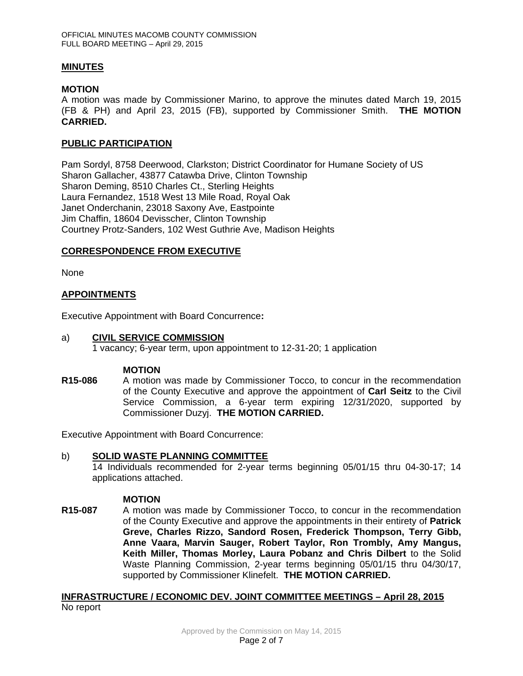### **MINUTES**

#### **MOTION**

A motion was made by Commissioner Marino, to approve the minutes dated March 19, 2015 (FB & PH) and April 23, 2015 (FB), supported by Commissioner Smith. **THE MOTION CARRIED.** 

#### **PUBLIC PARTICIPATION**

Pam Sordyl, 8758 Deerwood, Clarkston; District Coordinator for Humane Society of US Sharon Gallacher, 43877 Catawba Drive, Clinton Township Sharon Deming, 8510 Charles Ct., Sterling Heights Laura Fernandez, 1518 West 13 Mile Road, Royal Oak Janet Onderchanin, 23018 Saxony Ave, Eastpointe Jim Chaffin, 18604 Devisscher, Clinton Township Courtney Protz-Sanders, 102 West Guthrie Ave, Madison Heights

# **CORRESPONDENCE FROM EXECUTIVE**

None

### **APPOINTMENTS**

Executive Appointment with Board Concurrence**:** 

#### a) **CIVIL SERVICE COMMISSION**

1 vacancy; 6-year term, upon appointment to 12-31-20; 1 application

#### **MOTION**

**R15-086** A motion was made by Commissioner Tocco, to concur in the recommendation of the County Executive and approve the appointment of **Carl Seitz** to the Civil Service Commission, a 6-year term expiring 12/31/2020, supported by Commissioner Duzyj. **THE MOTION CARRIED.** 

Executive Appointment with Board Concurrence:

#### b) **SOLID WASTE PLANNING COMMITTEE**

14 Individuals recommended for 2-year terms beginning 05/01/15 thru 04-30-17; 14 applications attached.

#### **MOTION**

**R15-087** A motion was made by Commissioner Tocco, to concur in the recommendation of the County Executive and approve the appointments in their entirety of **Patrick Greve, Charles Rizzo, Sandord Rosen, Frederick Thompson, Terry Gibb, Anne Vaara, Marvin Sauger, Robert Taylor, Ron Trombly, Amy Mangus, Keith Miller, Thomas Morley, Laura Pobanz and Chris Dilbert** to the Solid Waste Planning Commission, 2-year terms beginning 05/01/15 thru 04/30/17, supported by Commissioner Klinefelt. **THE MOTION CARRIED.** 

### **INFRASTRUCTURE / ECONOMIC DEV. JOINT COMMITTEE MEETINGS – April 28, 2015** No report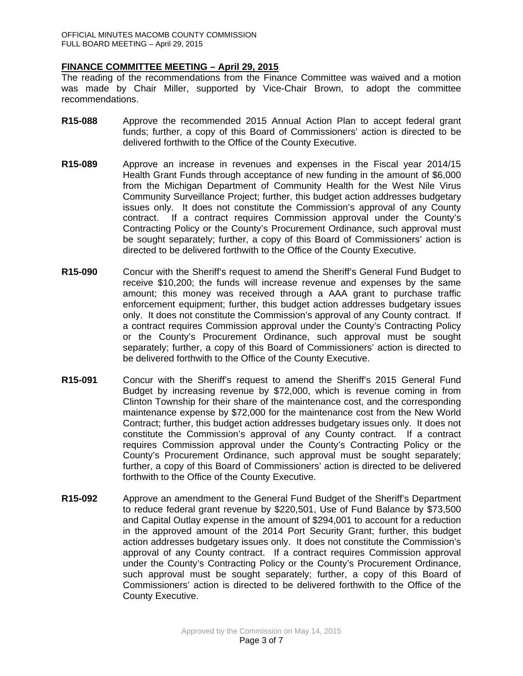#### **FINANCE COMMITTEE MEETING – April 29, 2015**

The reading of the recommendations from the Finance Committee was waived and a motion was made by Chair Miller, supported by Vice-Chair Brown, to adopt the committee recommendations.

- **R15-088** Approve the recommended 2015 Annual Action Plan to accept federal grant funds; further, a copy of this Board of Commissioners' action is directed to be delivered forthwith to the Office of the County Executive.
- **R15-089** Approve an increase in revenues and expenses in the Fiscal year 2014/15 Health Grant Funds through acceptance of new funding in the amount of \$6,000 from the Michigan Department of Community Health for the West Nile Virus Community Surveillance Project; further, this budget action addresses budgetary issues only. It does not constitute the Commission's approval of any County contract. If a contract requires Commission approval under the County's Contracting Policy or the County's Procurement Ordinance, such approval must be sought separately; further, a copy of this Board of Commissioners' action is directed to be delivered forthwith to the Office of the County Executive.
- **R15-090** Concur with the Sheriff's request to amend the Sheriff's General Fund Budget to receive \$10,200; the funds will increase revenue and expenses by the same amount; this money was received through a AAA grant to purchase traffic enforcement equipment; further, this budget action addresses budgetary issues only. It does not constitute the Commission's approval of any County contract. If a contract requires Commission approval under the County's Contracting Policy or the County's Procurement Ordinance, such approval must be sought separately; further, a copy of this Board of Commissioners' action is directed to be delivered forthwith to the Office of the County Executive.
- **R15-091** Concur with the Sheriff's request to amend the Sheriff's 2015 General Fund Budget by increasing revenue by \$72,000, which is revenue coming in from Clinton Township for their share of the maintenance cost, and the corresponding maintenance expense by \$72,000 for the maintenance cost from the New World Contract; further, this budget action addresses budgetary issues only. It does not constitute the Commission's approval of any County contract. If a contract requires Commission approval under the County's Contracting Policy or the County's Procurement Ordinance, such approval must be sought separately; further, a copy of this Board of Commissioners' action is directed to be delivered forthwith to the Office of the County Executive.
- **R15-092** Approve an amendment to the General Fund Budget of the Sheriff's Department to reduce federal grant revenue by \$220,501, Use of Fund Balance by \$73,500 and Capital Outlay expense in the amount of \$294,001 to account for a reduction in the approved amount of the 2014 Port Security Grant; further, this budget action addresses budgetary issues only. It does not constitute the Commission's approval of any County contract. If a contract requires Commission approval under the County's Contracting Policy or the County's Procurement Ordinance, such approval must be sought separately; further, a copy of this Board of Commissioners' action is directed to be delivered forthwith to the Office of the County Executive.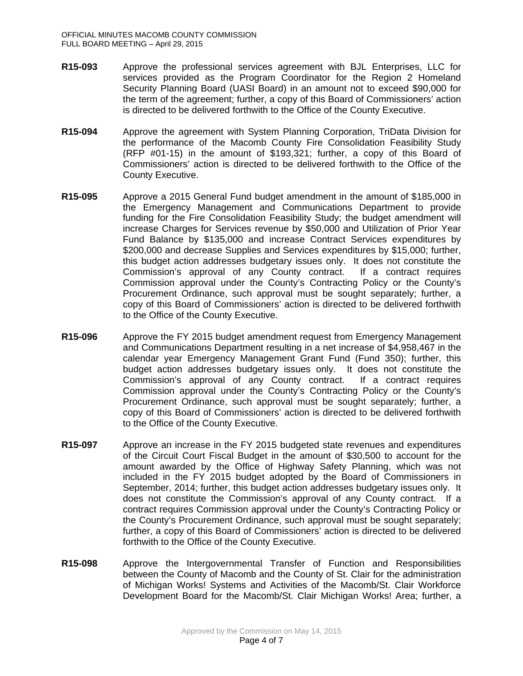- **R15-093** Approve the professional services agreement with BJL Enterprises, LLC for services provided as the Program Coordinator for the Region 2 Homeland Security Planning Board (UASI Board) in an amount not to exceed \$90,000 for the term of the agreement; further, a copy of this Board of Commissioners' action is directed to be delivered forthwith to the Office of the County Executive.
- **R15-094** Approve the agreement with System Planning Corporation, TriData Division for the performance of the Macomb County Fire Consolidation Feasibility Study (RFP #01-15) in the amount of \$193,321; further, a copy of this Board of Commissioners' action is directed to be delivered forthwith to the Office of the County Executive.
- **R15-095** Approve a 2015 General Fund budget amendment in the amount of \$185,000 in the Emergency Management and Communications Department to provide funding for the Fire Consolidation Feasibility Study; the budget amendment will increase Charges for Services revenue by \$50,000 and Utilization of Prior Year Fund Balance by \$135,000 and increase Contract Services expenditures by \$200,000 and decrease Supplies and Services expenditures by \$15,000; further, this budget action addresses budgetary issues only. It does not constitute the Commission's approval of any County contract. If a contract requires Commission approval under the County's Contracting Policy or the County's Procurement Ordinance, such approval must be sought separately; further, a copy of this Board of Commissioners' action is directed to be delivered forthwith to the Office of the County Executive.
- **R15-096** Approve the FY 2015 budget amendment request from Emergency Management and Communications Department resulting in a net increase of \$4,958,467 in the calendar year Emergency Management Grant Fund (Fund 350); further, this budget action addresses budgetary issues only. It does not constitute the Commission's approval of any County contract. If a contract requires Commission approval under the County's Contracting Policy or the County's Procurement Ordinance, such approval must be sought separately; further, a copy of this Board of Commissioners' action is directed to be delivered forthwith to the Office of the County Executive.
- **R15-097** Approve an increase in the FY 2015 budgeted state revenues and expenditures of the Circuit Court Fiscal Budget in the amount of \$30,500 to account for the amount awarded by the Office of Highway Safety Planning, which was not included in the FY 2015 budget adopted by the Board of Commissioners in September, 2014; further, this budget action addresses budgetary issues only. It does not constitute the Commission's approval of any County contract. If a contract requires Commission approval under the County's Contracting Policy or the County's Procurement Ordinance, such approval must be sought separately; further, a copy of this Board of Commissioners' action is directed to be delivered forthwith to the Office of the County Executive.
- **R15-098** Approve the Intergovernmental Transfer of Function and Responsibilities between the County of Macomb and the County of St. Clair for the administration of Michigan Works! Systems and Activities of the Macomb/St. Clair Workforce Development Board for the Macomb/St. Clair Michigan Works! Area; further, a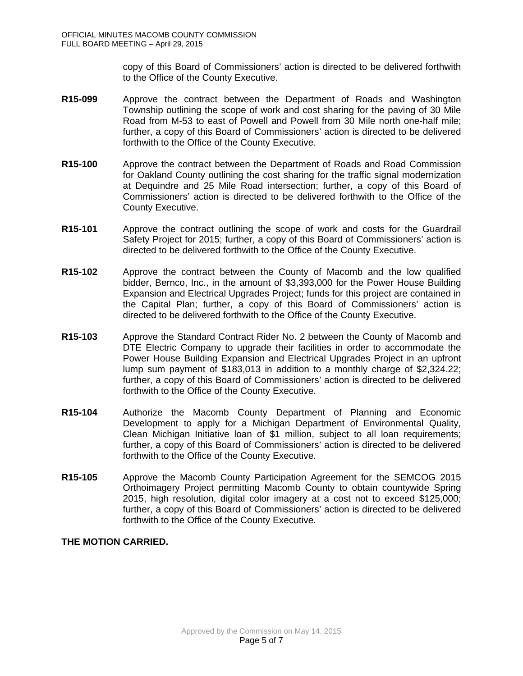copy of this Board of Commissioners' action is directed to be delivered forthwith to the Office of the County Executive.

- **R15-099** Approve the contract between the Department of Roads and Washington Township outlining the scope of work and cost sharing for the paving of 30 Mile Road from M-53 to east of Powell and Powell from 30 Mile north one-half mile; further, a copy of this Board of Commissioners' action is directed to be delivered forthwith to the Office of the County Executive.
- **R15-100** Approve the contract between the Department of Roads and Road Commission for Oakland County outlining the cost sharing for the traffic signal modernization at Dequindre and 25 Mile Road intersection; further, a copy of this Board of Commissioners' action is directed to be delivered forthwith to the Office of the County Executive.
- **R15-101** Approve the contract outlining the scope of work and costs for the Guardrail Safety Project for 2015; further, a copy of this Board of Commissioners' action is directed to be delivered forthwith to the Office of the County Executive.
- **R15-102** Approve the contract between the County of Macomb and the low qualified bidder, Bernco, Inc., in the amount of \$3,393,000 for the Power House Building Expansion and Electrical Upgrades Project; funds for this project are contained in the Capital Plan; further, a copy of this Board of Commissioners' action is directed to be delivered forthwith to the Office of the County Executive.
- **R15-103** Approve the Standard Contract Rider No. 2 between the County of Macomb and DTE Electric Company to upgrade their facilities in order to accommodate the Power House Building Expansion and Electrical Upgrades Project in an upfront lump sum payment of \$183,013 in addition to a monthly charge of \$2,324.22; further, a copy of this Board of Commissioners' action is directed to be delivered forthwith to the Office of the County Executive.
- **R15-104** Authorize the Macomb County Department of Planning and Economic Development to apply for a Michigan Department of Environmental Quality, Clean Michigan Initiative loan of \$1 million, subject to all loan requirements; further, a copy of this Board of Commissioners' action is directed to be delivered forthwith to the Office of the County Executive.
- **R15-105** Approve the Macomb County Participation Agreement for the SEMCOG 2015 Orthoimagery Project permitting Macomb County to obtain countywide Spring 2015, high resolution, digital color imagery at a cost not to exceed \$125,000; further, a copy of this Board of Commissioners' action is directed to be delivered forthwith to the Office of the County Executive.

# **THE MOTION CARRIED.**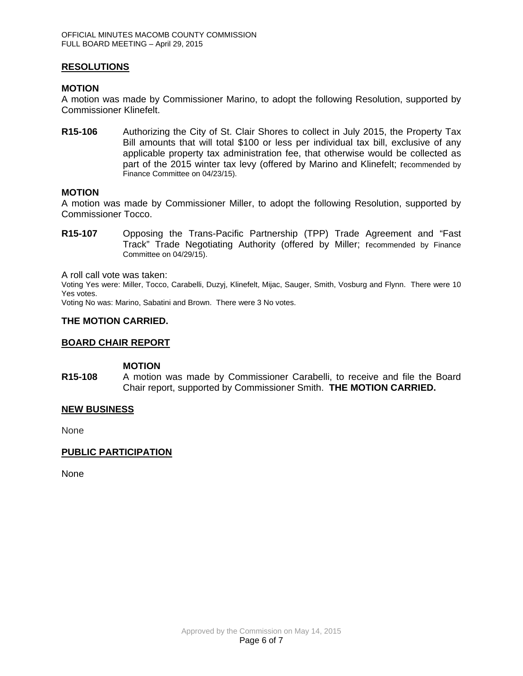### **RESOLUTIONS**

#### **MOTION**

A motion was made by Commissioner Marino, to adopt the following Resolution, supported by Commissioner Klinefelt.

**R15-106** Authorizing the City of St. Clair Shores to collect in July 2015, the Property Tax Bill amounts that will total \$100 or less per individual tax bill, exclusive of any applicable property tax administration fee, that otherwise would be collected as part of the 2015 winter tax levy (offered by Marino and Klinefelt; recommended by Finance Committee on 04/23/15).

### **MOTION**

A motion was made by Commissioner Miller, to adopt the following Resolution, supported by Commissioner Tocco.

**R15-107** Opposing the Trans-Pacific Partnership (TPP) Trade Agreement and "Fast Track" Trade Negotiating Authority (offered by Miller; recommended by Finance Committee on 04/29/15).

A roll call vote was taken:

Voting Yes were: Miller, Tocco, Carabelli, Duzyj, Klinefelt, Mijac, Sauger, Smith, Vosburg and Flynn. There were 10 Yes votes.

Voting No was: Marino, Sabatini and Brown. There were 3 No votes.

### **THE MOTION CARRIED.**

#### **BOARD CHAIR REPORT**

### **MOTION**

**R15-108** A motion was made by Commissioner Carabelli, to receive and file the Board Chair report, supported by Commissioner Smith. **THE MOTION CARRIED.**

#### **NEW BUSINESS**

None

# **PUBLIC PARTICIPATION**

None